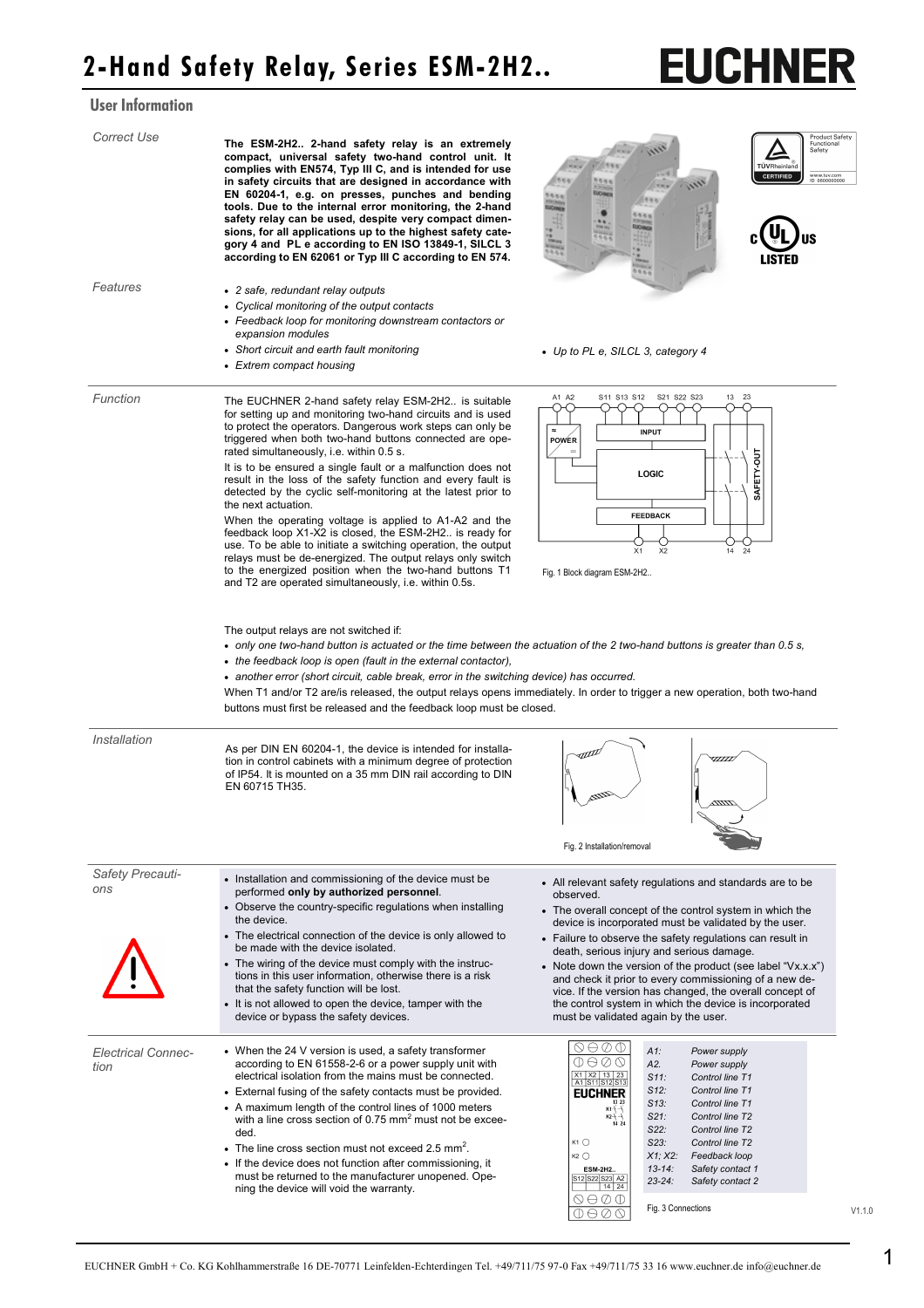## User Information

| <b>Correct Use</b>                | The ESM-2H2 2-hand safety relay is an extremely<br>compact, universal safety two-hand control unit. It<br>complies with EN574, Typ III C, and is intended for use<br>in safety circuits that are designed in accordance with<br>EN 60204-1, e.g. on presses, punches and bending<br>tools. Due to the internal error monitoring, the 2-hand<br>safety relay can be used, despite very compact dimen-<br>sions, for all applications up to the highest safety cate-<br>gory 4 and PL e according to EN ISO 13849-1, SILCL 3<br>according to EN 62061 or Typ III C according to EN 574.                                                                                                                                                                                                                                                                                                                                                                                                                                                                                                                                                                                                                                                                                                                                                                                                                                              | <b>Product Safety</b><br>Functional<br>Safety<br>71500<br>TÜVRheinland<br><b>CERTIFIED</b><br>www.tuv.com<br>ID 0600000000<br>0.006<br><b>UCHNO</b><br>0.0.08                                                                                                                                                                                                                                                                                                                                                                                                                                    |  |  |
|-----------------------------------|------------------------------------------------------------------------------------------------------------------------------------------------------------------------------------------------------------------------------------------------------------------------------------------------------------------------------------------------------------------------------------------------------------------------------------------------------------------------------------------------------------------------------------------------------------------------------------------------------------------------------------------------------------------------------------------------------------------------------------------------------------------------------------------------------------------------------------------------------------------------------------------------------------------------------------------------------------------------------------------------------------------------------------------------------------------------------------------------------------------------------------------------------------------------------------------------------------------------------------------------------------------------------------------------------------------------------------------------------------------------------------------------------------------------------------|--------------------------------------------------------------------------------------------------------------------------------------------------------------------------------------------------------------------------------------------------------------------------------------------------------------------------------------------------------------------------------------------------------------------------------------------------------------------------------------------------------------------------------------------------------------------------------------------------|--|--|
| Features                          | • 2 safe, redundant relay outputs<br>• Cyclical monitoring of the output contacts<br>• Feedback loop for monitoring downstream contactors or<br>expansion modules<br>• Short circuit and earth fault monitoring<br>• Extrem compact housing                                                                                                                                                                                                                                                                                                                                                                                                                                                                                                                                                                                                                                                                                                                                                                                                                                                                                                                                                                                                                                                                                                                                                                                        | • Up to PL e, SILCL 3, category 4                                                                                                                                                                                                                                                                                                                                                                                                                                                                                                                                                                |  |  |
| Function                          | The EUCHNER 2-hand safety relay ESM-2H2 is suitable<br>for setting up and monitoring two-hand circuits and is used<br>to protect the operators. Dangerous work steps can only be<br>triggered when both two-hand buttons connected are ope-<br>rated simultaneously, i.e. within 0.5 s.<br>It is to be ensured a single fault or a malfunction does not<br>result in the loss of the safety function and every fault is<br>detected by the cyclic self-monitoring at the latest prior to<br>the next actuation.<br>When the operating voltage is applied to A1-A2 and the<br>feedback loop X1-X2 is closed, the ESM-2H2 is ready for<br>use. To be able to initiate a switching operation, the output<br>relays must be de-energized. The output relays only switch<br>to the energized position when the two-hand buttons T1<br>and T2 are operated simultaneously, i.e. within 0.5s.<br>The output relays are not switched if:<br>• only one two-hand button is actuated or the time between the actuation of the 2 two-hand buttons is greater than 0.5 s,<br>• the feedback loop is open (fault in the external contactor),<br>• another error (short circuit, cable break, error in the switching device) has occurred.<br>When T1 and/or T2 are/is released, the output relays opens immediately. In order to trigger a new operation, both two-hand<br>buttons must first be released and the feedback loop must be closed. | S11 S13 S12<br>S21 S22 S23<br>13 23<br>A1 A2<br><b>INPUT</b><br><b>POWER</b><br>SAFETY-OUT<br>LOGIC<br><b>FEEDBACK</b><br>$\overline{X1}$<br>$\overline{x2}$<br>24<br>14<br>Fig. 1 Block diagram ESM-2H2                                                                                                                                                                                                                                                                                                                                                                                         |  |  |
| Installation                      | As per DIN EN 60204-1, the device is intended for installa-<br>tion in control cabinets with a minimum degree of protection<br>of IP54. It is mounted on a 35 mm DIN rail according to DIN<br>EN 60715 TH35.                                                                                                                                                                                                                                                                                                                                                                                                                                                                                                                                                                                                                                                                                                                                                                                                                                                                                                                                                                                                                                                                                                                                                                                                                       | 77777<br>Fig. 2 Installation/removal                                                                                                                                                                                                                                                                                                                                                                                                                                                                                                                                                             |  |  |
| Safety Precauti-<br>ons           | • Installation and commissioning of the device must be<br>performed only by authorized personnel.<br>• Observe the country-specific regulations when installing<br>the device.<br>• The electrical connection of the device is only allowed to<br>be made with the device isolated.<br>• The wiring of the device must comply with the instruc-<br>tions in this user information, otherwise there is a risk<br>that the safety function will be lost.<br>• It is not allowed to open the device, tamper with the<br>device or bypass the safety devices.                                                                                                                                                                                                                                                                                                                                                                                                                                                                                                                                                                                                                                                                                                                                                                                                                                                                          | • All relevant safety regulations and standards are to be<br>observed.<br>• The overall concept of the control system in which the<br>device is incorporated must be validated by the user.<br>• Failure to observe the safety regulations can result in<br>death, serious injury and serious damage.<br>• Note down the version of the product (see label " $Vx.x.x"$ )<br>and check it prior to every commissioning of a new de-<br>vice. If the version has changed, the overall concept of<br>the control system in which the device is incorporated<br>must be validated again by the user. |  |  |
| <b>Electrical Connec-</b><br>tion | • When the 24 V version is used, a safety transformer<br>according to EN 61558-2-6 or a power supply unit with<br>electrical isolation from the mains must be connected.<br>• External fusing of the safety contacts must be provided.<br>• A maximum length of the control lines of 1000 meters<br>with a line cross section of 0.75 mm <sup>2</sup> must not be excee-<br>ded.<br>• The line cross section must not exceed 2.5 mm <sup>2</sup> .<br>• If the device does not function after commissioning, it<br>must be returned to the manufacturer unopened. Ope-<br>ning the device will void the warranty.                                                                                                                                                                                                                                                                                                                                                                                                                                                                                                                                                                                                                                                                                                                                                                                                                  | $\circledcirc \circ \circ$<br>$A1$ :<br>Power supply<br>1⊖⊘⊙<br>A2.<br>Power supply<br>X1 X2 13 23<br>$S11$ :<br>Control line T1<br>A1 S11 S12 S13<br>S12:<br>Control line T1<br><b>EUCHNER</b><br>S13:<br>Control line T1<br>$K1 + \rightarrow$<br>$S21$ :<br>Control line T2<br>$K2 +$<br>14 24<br>S22:<br>Control line T2<br>$K1$ $\bigcirc$<br>S23:<br>Control line T2<br>$K2$ $\bigcirc$<br>X1; X2:<br>Feedback loop<br>$13 - 14$ :<br>Safety contact 1<br><b>ESM-2H2</b><br>S12 S22 S23 A2<br>$23 - 24$ :<br>Safety contact 2<br>$14$ 24<br>⇔⇔∞<br>Fig. 3 Connections<br>0 O O O           |  |  |

V1.1.0

**EUCHNER**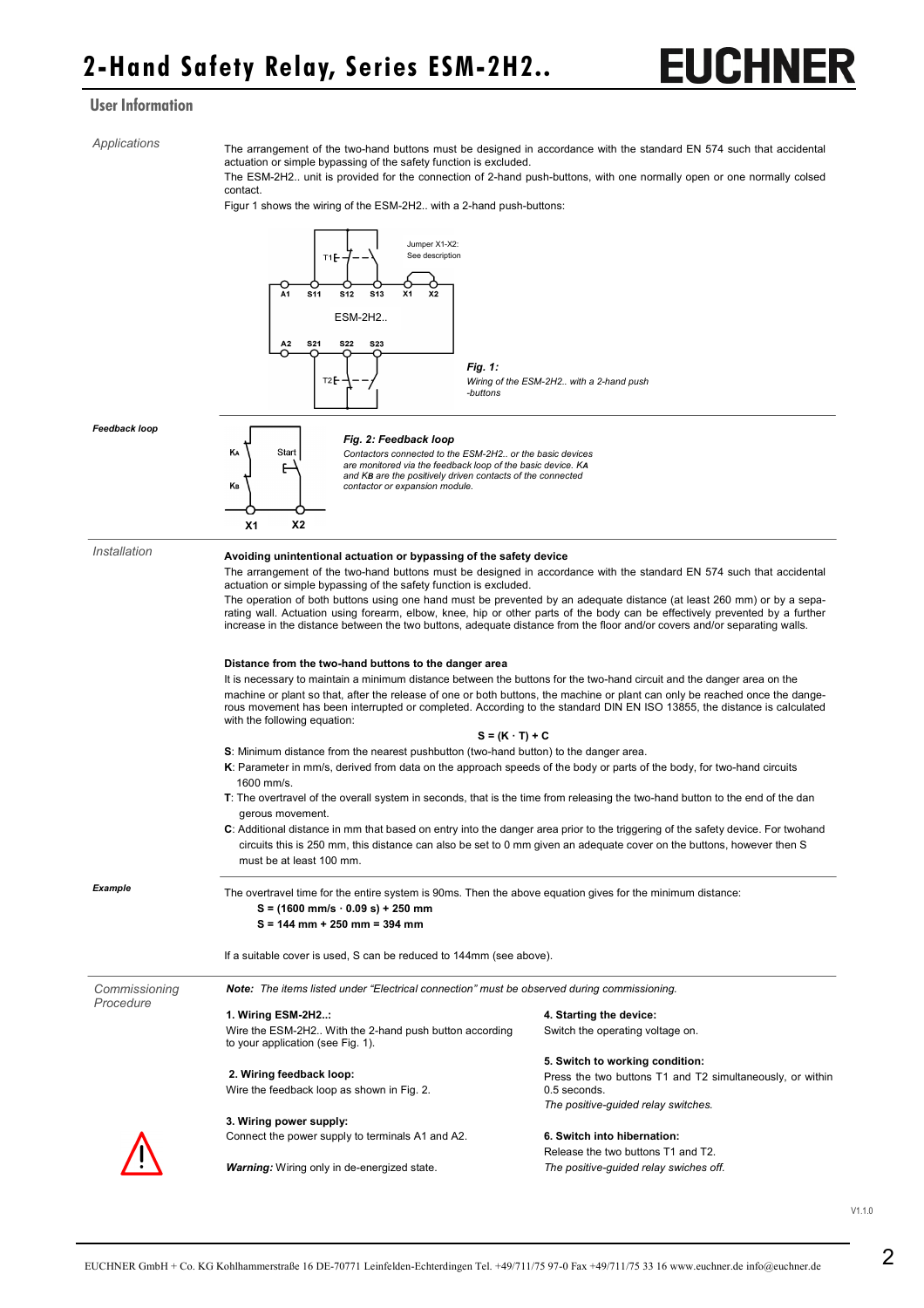## EUCHNE

### User Information

*Applications* 

The arrangement of the two-hand buttons must be designed in accordance with the standard EN 574 such that accidental actuation or simple bypassing of the safety function is excluded.

The ESM-2H2.. unit is provided for the connection of 2-hand push-buttons, with one normally open or one normally colsed contact.

Figur 1 shows the wiring of the ESM-2H2.. with a 2-hand push-buttons:

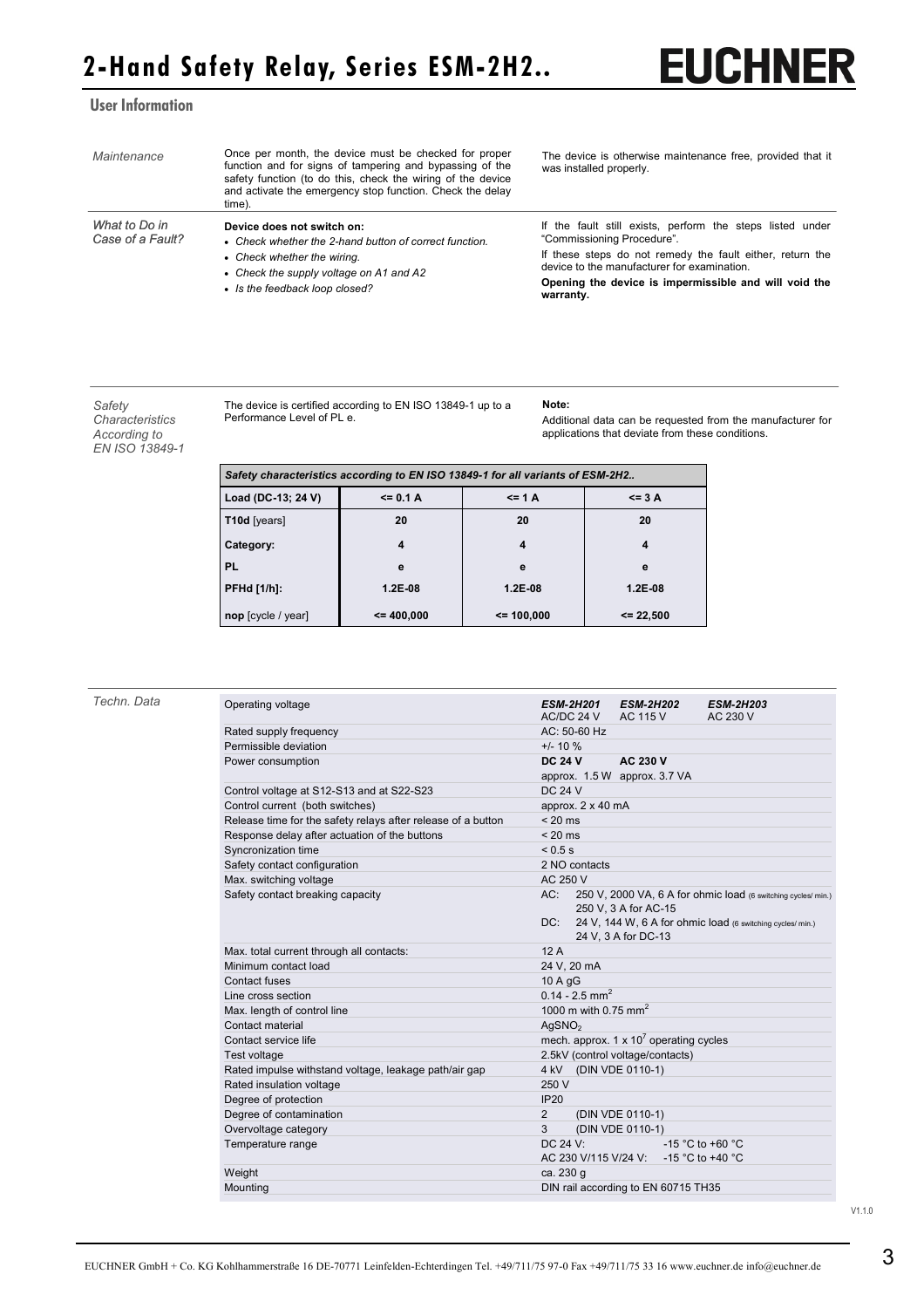### User Information

| Maintenance                       | Once per month, the device must be checked for proper<br>function and for signs of tampering and bypassing of the<br>safety function (to do this, check the wiring of the device<br>and activate the emergency stop function. Check the delay<br>time). | The device is otherwise maintenance free, provided that it<br>was installed properly.                                                                                                               |  |
|-----------------------------------|---------------------------------------------------------------------------------------------------------------------------------------------------------------------------------------------------------------------------------------------------------|-----------------------------------------------------------------------------------------------------------------------------------------------------------------------------------------------------|--|
| What to Do in<br>Case of a Fault? | Device does not switch on:<br>• Check whether the 2-hand button of correct function.<br>• Check whether the wiring.<br>• Check the supply voltage on A1 and A2<br>• Is the feedback loop closed?                                                        | If the fault still exists, perform the steps listed under<br>"Commissioning Procedure".<br>If these steps do not remedy the fault either, return the<br>device to the manufacturer for examination. |  |
|                                   |                                                                                                                                                                                                                                                         | Opening the device is impermissible and will void the<br>warranty.                                                                                                                                  |  |

*Safety Characteristics According to EN ISO 13849-1* 

The device is certified according to EN ISO 13849-1 up to a Performance Level of PL e.

**Note:**

Additional data can be requested from the manufacturer for applications that deviate from these conditions.

**EUCHNER** 

| Safety characteristics according to EN ISO 13849-1 for all variants of ESM-2H2 |              |             |               |  |  |  |  |
|--------------------------------------------------------------------------------|--------------|-------------|---------------|--|--|--|--|
| Load (DC-13; 24 V)                                                             | $\leq$ 0.1 A | $\leq$ 1 A  | $\leq$ 3 A    |  |  |  |  |
| T10d [years]                                                                   | 20           | 20          | 20            |  |  |  |  |
| Category:                                                                      | 4            | 4           | 4             |  |  |  |  |
| <b>PL</b>                                                                      | е            | e           | е             |  |  |  |  |
| <b>PFHd [1/h]:</b>                                                             | $1.2E-08$    | $1.2E-08$   | $1.2E-08$     |  |  |  |  |
| nop [cycle / year]                                                             | $= 400,000$  | $= 100,000$ | $\leq$ 22,500 |  |  |  |  |

| Techn. Data | Operating voltage                                            | <b>ESM-2H201</b><br>AC/DC 24 V   | <b>ESM-2H202</b><br>AC 115 V                   | <b>ESM-2H203</b><br>AC 230 V                                   |
|-------------|--------------------------------------------------------------|----------------------------------|------------------------------------------------|----------------------------------------------------------------|
|             | Rated supply frequency                                       | AC: 50-60 Hz                     |                                                |                                                                |
|             | Permissible deviation                                        | $+/- 10 \%$                      |                                                |                                                                |
|             | Power consumption                                            | <b>DC 24 V</b>                   | AC 230 V<br>approx. 1.5 W approx. 3.7 VA       |                                                                |
|             | Control voltage at S12-S13 and at S22-S23                    | <b>DC 24 V</b>                   |                                                |                                                                |
|             | Control current (both switches)                              | approx. 2 x 40 mA                |                                                |                                                                |
|             | Release time for the safety relays after release of a button | $< 20$ ms                        |                                                |                                                                |
|             | Response delay after actuation of the buttons                | $< 20$ ms                        |                                                |                                                                |
|             | Syncronization time                                          | < 0.5 s                          |                                                |                                                                |
|             | Safety contact configuration                                 | 2 NO contacts                    |                                                |                                                                |
|             | Max. switching voltage                                       | AC 250 V                         |                                                |                                                                |
|             | Safety contact breaking capacity                             | AC:                              | 250 V. 3 A for AC-15                           | 250 V, 2000 VA, 6 A for ohmic load (6 switching cycles/min.)   |
|             |                                                              |                                  |                                                | DC: 24 V, 144 W, 6 A for ohmic load (6 switching cycles/ min.) |
|             |                                                              |                                  | 24 V, 3 A for DC-13                            |                                                                |
|             | Max. total current through all contacts:                     | 12A                              |                                                |                                                                |
|             | Minimum contact load                                         | 24 V, 20 mA                      |                                                |                                                                |
|             | Contact fuses                                                | 10 A gG                          |                                                |                                                                |
|             | Line cross section                                           | $0.14 - 2.5$ mm <sup>2</sup>     |                                                |                                                                |
|             | Max. length of control line                                  | 1000 m with 0.75 mm <sup>2</sup> |                                                |                                                                |
|             | Contact material                                             | AgSNO <sub>2</sub>               |                                                |                                                                |
|             | Contact service life                                         |                                  | mech. approx. $1 \times 10^7$ operating cycles |                                                                |
|             | Test voltage                                                 |                                  | 2.5kV (control voltage/contacts)               |                                                                |
|             | Rated impulse withstand voltage, leakage path/air gap        | 4 kV (DIN VDE 0110-1)            |                                                |                                                                |
|             | Rated insulation voltage                                     | 250 V                            |                                                |                                                                |
|             | Degree of protection                                         | IP20                             |                                                |                                                                |
|             | Degree of contamination                                      | $\overline{2}$                   | (DIN VDE 0110-1)                               |                                                                |
|             | Overvoltage category                                         | 3                                | (DIN VDE 0110-1)                               |                                                                |
|             | Temperature range                                            | DC 24 V:                         |                                                | -15 °C to +60 °C                                               |
|             |                                                              | AC 230 V/115 V/24 V:             |                                                | -15 °C to +40 °C                                               |
|             | Weight                                                       | ca. 230 g                        |                                                |                                                                |
|             | Mounting                                                     |                                  | DIN rail according to EN 60715 TH35            |                                                                |